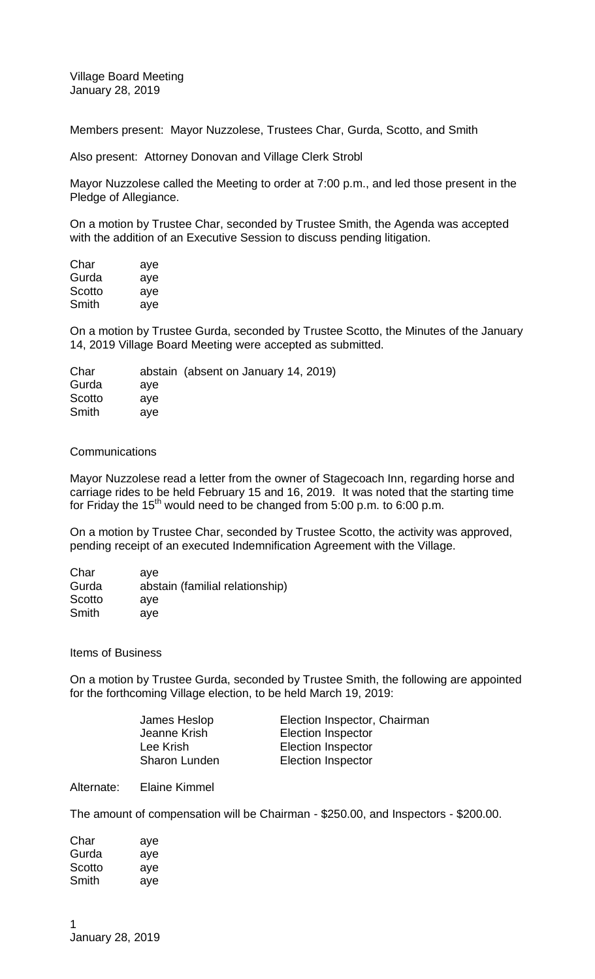Village Board Meeting January 28, 2019

Members present: Mayor Nuzzolese, Trustees Char, Gurda, Scotto, and Smith

Also present: Attorney Donovan and Village Clerk Strobl

Mayor Nuzzolese called the Meeting to order at 7:00 p.m., and led those present in the Pledge of Allegiance.

On a motion by Trustee Char, seconded by Trustee Smith, the Agenda was accepted with the addition of an Executive Session to discuss pending litigation.

| Char   | aye |
|--------|-----|
| Gurda  | aye |
| Scotto | aye |
| Smith  | aye |

On a motion by Trustee Gurda, seconded by Trustee Scotto, the Minutes of the January 14, 2019 Village Board Meeting were accepted as submitted.

| ave |                                      |
|-----|--------------------------------------|
| ave |                                      |
| ave |                                      |
|     | abstain (absent on January 14, 2019) |

## **Communications**

Mayor Nuzzolese read a letter from the owner of Stagecoach Inn, regarding horse and carriage rides to be held February 15 and 16, 2019. It was noted that the starting time for Friday the  $15<sup>th</sup>$  would need to be changed from 5:00 p.m. to 6:00 p.m.

On a motion by Trustee Char, seconded by Trustee Scotto, the activity was approved, pending receipt of an executed Indemnification Agreement with the Village.

| Char   | ave                             |
|--------|---------------------------------|
| Gurda  | abstain (familial relationship) |
| Scotto | ave                             |
| Smith  | ave                             |

Items of Business

On a motion by Trustee Gurda, seconded by Trustee Smith, the following are appointed for the forthcoming Village election, to be held March 19, 2019:

| Election Inspector, Chairman |
|------------------------------|
| <b>Election Inspector</b>    |
| <b>Election Inspector</b>    |
| <b>Election Inspector</b>    |
|                              |

Alternate: Elaine Kimmel

The amount of compensation will be Chairman - \$250.00, and Inspectors - \$200.00.

| Char   | aye |
|--------|-----|
| Gurda  | aye |
| Scotto | aye |
| Smith  | aye |